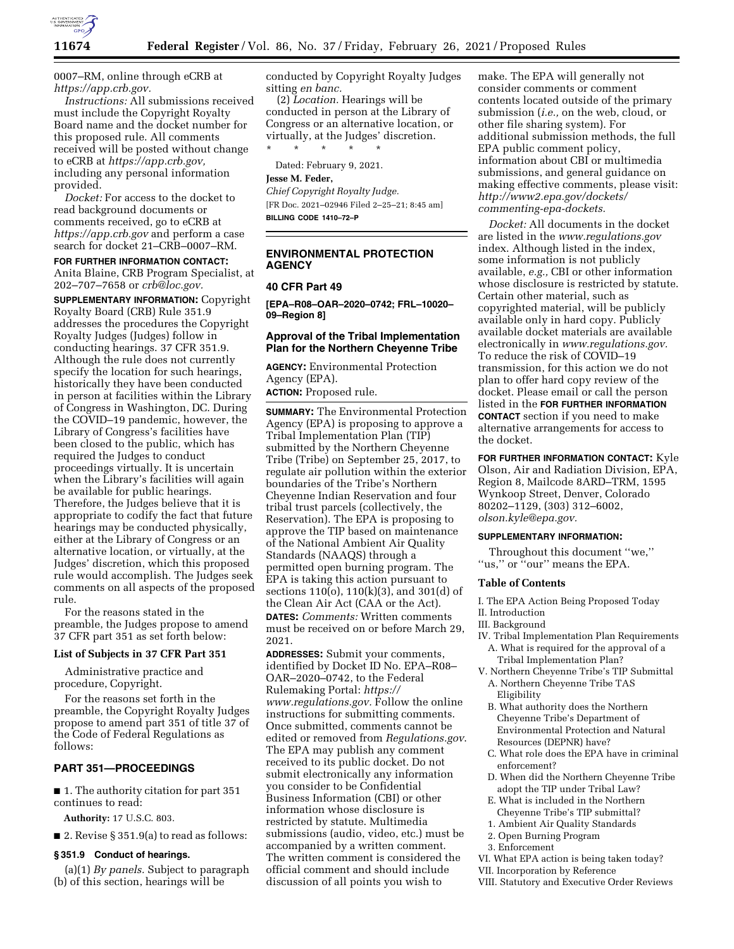

0007–RM, online through eCRB at *[https://app.crb.gov.](https://app.crb.gov)* 

*Instructions:* All submissions received must include the Copyright Royalty Board name and the docket number for this proposed rule. All comments received will be posted without change to eCRB at *[https://app.crb.gov,](https://app.crb.gov)*  including any personal information provided.

*Docket:* For access to the docket to read background documents or comments received, go to eCRB at *<https://app.crb.gov>*and perform a case search for docket 21–CRB–0007–RM.

#### **FOR FURTHER INFORMATION CONTACT:**

Anita Blaine, CRB Program Specialist, at 202–707–7658 or *[crb@loc.gov.](mailto:crb@loc.gov)* 

**SUPPLEMENTARY INFORMATION:** Copyright Royalty Board (CRB) Rule 351.9 addresses the procedures the Copyright Royalty Judges (Judges) follow in conducting hearings. 37 CFR 351.9. Although the rule does not currently specify the location for such hearings, historically they have been conducted in person at facilities within the Library of Congress in Washington, DC. During the COVID–19 pandemic, however, the Library of Congress's facilities have been closed to the public, which has required the Judges to conduct proceedings virtually. It is uncertain when the Library's facilities will again be available for public hearings. Therefore, the Judges believe that it is appropriate to codify the fact that future hearings may be conducted physically, either at the Library of Congress or an alternative location, or virtually, at the Judges' discretion, which this proposed rule would accomplish. The Judges seek comments on all aspects of the proposed rule.

For the reasons stated in the preamble, the Judges propose to amend 37 CFR part 351 as set forth below:

#### **List of Subjects in 37 CFR Part 351**

Administrative practice and procedure, Copyright.

For the reasons set forth in the preamble, the Copyright Royalty Judges propose to amend part 351 of title 37 of the Code of Federal Regulations as follows:

## **PART 351—PROCEEDINGS**

■ 1. The authority citation for part 351 continues to read:

**Authority:** 17 U.S.C. 803.

■ 2. Revise § 351.9(a) to read as follows:

#### **§ 351.9 Conduct of hearings.**

(a)(1) *By panels.* Subject to paragraph (b) of this section, hearings will be

conducted by Copyright Royalty Judges sitting *en banc.* 

(2) *Location.* Hearings will be conducted in person at the Library of Congress or an alternative location, or virtually, at the Judges' discretion. \* \* \* \* \*

Dated: February 9, 2021.

### **Jesse M. Feder,**

*Chief Copyright Royalty Judge.*  [FR Doc. 2021–02946 Filed 2–25–21; 8:45 am] **BILLING CODE 1410–72–P** 

# **ENVIRONMENTAL PROTECTION AGENCY**

#### **40 CFR Part 49**

**[EPA–R08–OAR–2020–0742; FRL–10020– 09–Region 8]** 

## **Approval of the Tribal Implementation Plan for the Northern Cheyenne Tribe**

**AGENCY:** Environmental Protection Agency (EPA).

**ACTION:** Proposed rule.

**SUMMARY:** The Environmental Protection Agency (EPA) is proposing to approve a Tribal Implementation Plan (TIP) submitted by the Northern Cheyenne Tribe (Tribe) on September 25, 2017, to regulate air pollution within the exterior boundaries of the Tribe's Northern Cheyenne Indian Reservation and four tribal trust parcels (collectively, the Reservation). The EPA is proposing to approve the TIP based on maintenance of the National Ambient Air Quality Standards (NAAQS) through a permitted open burning program. The EPA is taking this action pursuant to sections  $110(0)$ ,  $110(k)(3)$ , and  $301(d)$  of the Clean Air Act (CAA or the Act). **DATES:** *Comments:* Written comments must be received on or before March 29, 2021.

**ADDRESSES:** Submit your comments, identified by Docket ID No. EPA–R08– OAR–2020–0742, to the Federal Rulemaking Portal: *[https://](https://www.regulations.gov) [www.regulations.gov.](https://www.regulations.gov)* Follow the online instructions for submitting comments. Once submitted, comments cannot be edited or removed from *Regulations.gov*. The EPA may publish any comment received to its public docket. Do not submit electronically any information you consider to be Confidential Business Information (CBI) or other information whose disclosure is restricted by statute. Multimedia submissions (audio, video, etc.) must be accompanied by a written comment. The written comment is considered the official comment and should include discussion of all points you wish to

make. The EPA will generally not consider comments or comment contents located outside of the primary submission (*i.e.,* on the web, cloud, or other file sharing system). For additional submission methods, the full EPA public comment policy, information about CBI or multimedia submissions, and general guidance on making effective comments, please visit: *[http://www2.epa.gov/dockets/](http://www2.epa.gov/dockets/commenting-epa-dockets)  [commenting-epa-dockets.](http://www2.epa.gov/dockets/commenting-epa-dockets)* 

*Docket:* All documents in the docket are listed in the *[www.regulations.gov](http://www.regulations.gov)*  index. Although listed in the index, some information is not publicly available, *e.g.,* CBI or other information whose disclosure is restricted by statute. Certain other material, such as copyrighted material, will be publicly available only in hard copy. Publicly available docket materials are available electronically in *[www.regulations.gov.](http://www.regulations.gov)*  To reduce the risk of COVID–19 transmission, for this action we do not plan to offer hard copy review of the docket. Please email or call the person listed in the **FOR FURTHER INFORMATION CONTACT** section if you need to make alternative arrangements for access to the docket.

**FOR FURTHER INFORMATION CONTACT:** Kyle Olson, Air and Radiation Division, EPA, Region 8, Mailcode 8ARD–TRM, 1595 Wynkoop Street, Denver, Colorado 80202–1129, (303) 312–6002, *[olson.kyle@epa.gov.](mailto:olson.kyle@epa.gov)* 

#### **SUPPLEMENTARY INFORMATION:**

Throughout this document ''we,'' ''us,'' or ''our'' means the EPA.

#### **Table of Contents**

I. The EPA Action Being Proposed Today II. Introduction

# III. Background

- IV. Tribal Implementation Plan Requirements A. What is required for the approval of a Tribal Implementation Plan?
- V. Northern Cheyenne Tribe's TIP Submittal A. Northern Cheyenne Tribe TAS Eligibility
	- B. What authority does the Northern Cheyenne Tribe's Department of Environmental Protection and Natural Resources (DEPNR) have?
	- C. What role does the EPA have in criminal enforcement?
	- D. When did the Northern Cheyenne Tribe adopt the TIP under Tribal Law?
	- E. What is included in the Northern Cheyenne Tribe's TIP submittal?
	- 1. Ambient Air Quality Standards
- 2. Open Burning Program
- 3. Enforcement
- VI. What EPA action is being taken today?
- VII. Incorporation by Reference
- VIII. Statutory and Executive Order Reviews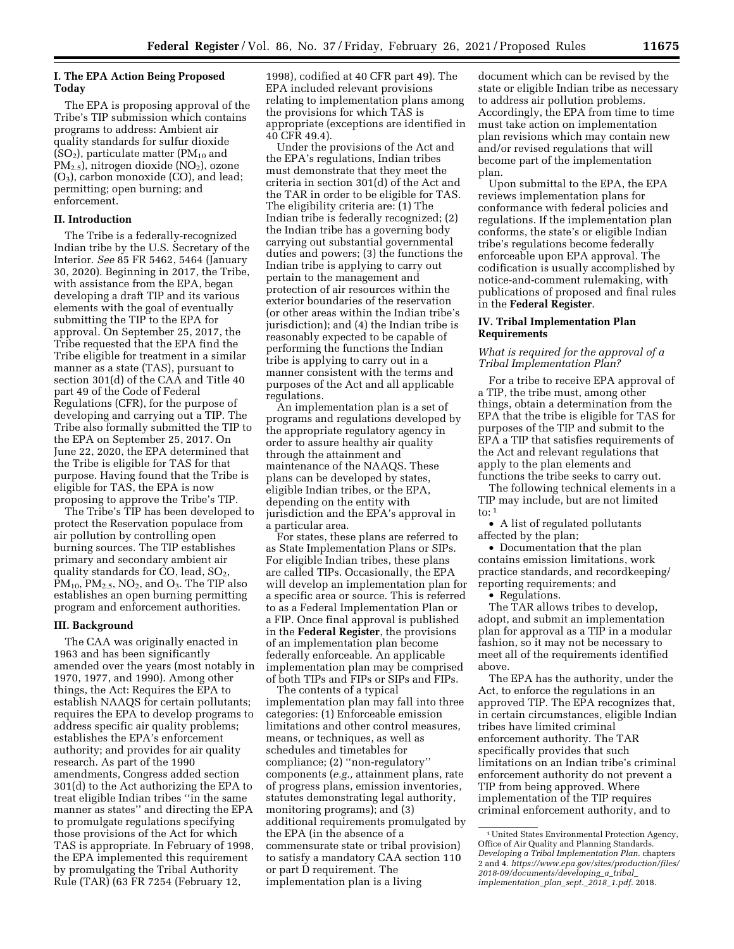#### **I. The EPA Action Being Proposed Today**

The EPA is proposing approval of the Tribe's TIP submission which contains programs to address: Ambient air quality standards for sulfur dioxide  $(SO<sub>2</sub>)$ , particulate matter (PM<sub>10</sub> and  $PM_{2.5}$ , nitrogen dioxide (NO<sub>2</sub>), ozone (O3), carbon monoxide (CO), and lead; permitting; open burning; and enforcement.

### **II. Introduction**

The Tribe is a federally-recognized Indian tribe by the U.S. Secretary of the Interior. *See* 85 FR 5462, 5464 (January 30, 2020). Beginning in 2017, the Tribe, with assistance from the EPA, began developing a draft TIP and its various elements with the goal of eventually submitting the TIP to the EPA for approval. On September 25, 2017, the Tribe requested that the EPA find the Tribe eligible for treatment in a similar manner as a state (TAS), pursuant to section 301(d) of the CAA and Title 40 part 49 of the Code of Federal Regulations (CFR), for the purpose of developing and carrying out a TIP. The Tribe also formally submitted the TIP to the EPA on September 25, 2017. On June 22, 2020, the EPA determined that the Tribe is eligible for TAS for that purpose. Having found that the Tribe is eligible for TAS, the EPA is now proposing to approve the Tribe's TIP.

The Tribe's TIP has been developed to protect the Reservation populace from air pollution by controlling open burning sources. The TIP establishes primary and secondary ambient air quality standards for CO, lead,  $SO<sub>2</sub>$ ,  $PM_{10}$ ,  $PM_{2.5}$ ,  $NO_2$ , and  $O_3$ . The TIP also establishes an open burning permitting program and enforcement authorities.

#### **III. Background**

The CAA was originally enacted in 1963 and has been significantly amended over the years (most notably in 1970, 1977, and 1990). Among other things, the Act: Requires the EPA to establish NAAQS for certain pollutants; requires the EPA to develop programs to address specific air quality problems; establishes the EPA's enforcement authority; and provides for air quality research. As part of the 1990 amendments, Congress added section 301(d) to the Act authorizing the EPA to treat eligible Indian tribes ''in the same manner as states'' and directing the EPA to promulgate regulations specifying those provisions of the Act for which TAS is appropriate. In February of 1998, the EPA implemented this requirement by promulgating the Tribal Authority Rule (TAR) (63 FR 7254 (February 12,

1998), codified at 40 CFR part 49). The EPA included relevant provisions relating to implementation plans among the provisions for which TAS is appropriate (exceptions are identified in 40 CFR 49.4).

Under the provisions of the Act and the EPA's regulations, Indian tribes must demonstrate that they meet the criteria in section 301(d) of the Act and the TAR in order to be eligible for TAS. The eligibility criteria are: (1) The Indian tribe is federally recognized; (2) the Indian tribe has a governing body carrying out substantial governmental duties and powers; (3) the functions the Indian tribe is applying to carry out pertain to the management and protection of air resources within the exterior boundaries of the reservation (or other areas within the Indian tribe's jurisdiction); and (4) the Indian tribe is reasonably expected to be capable of performing the functions the Indian tribe is applying to carry out in a manner consistent with the terms and purposes of the Act and all applicable regulations.

An implementation plan is a set of programs and regulations developed by the appropriate regulatory agency in order to assure healthy air quality through the attainment and maintenance of the NAAQS. These plans can be developed by states, eligible Indian tribes, or the EPA, depending on the entity with jurisdiction and the EPA's approval in a particular area.

For states, these plans are referred to as State Implementation Plans or SIPs. For eligible Indian tribes, these plans are called TIPs. Occasionally, the EPA will develop an implementation plan for a specific area or source. This is referred to as a Federal Implementation Plan or a FIP. Once final approval is published in the **Federal Register**, the provisions of an implementation plan become federally enforceable. An applicable implementation plan may be comprised of both TIPs and FIPs or SIPs and FIPs.

The contents of a typical implementation plan may fall into three categories: (1) Enforceable emission limitations and other control measures, means, or techniques, as well as schedules and timetables for compliance; (2) ''non-regulatory'' components (*e.g.,* attainment plans, rate of progress plans, emission inventories, statutes demonstrating legal authority, monitoring programs); and (3) additional requirements promulgated by the EPA (in the absence of a commensurate state or tribal provision) to satisfy a mandatory CAA section 110 or part D requirement. The implementation plan is a living

document which can be revised by the state or eligible Indian tribe as necessary to address air pollution problems. Accordingly, the EPA from time to time must take action on implementation plan revisions which may contain new and/or revised regulations that will become part of the implementation plan.

Upon submittal to the EPA, the EPA reviews implementation plans for conformance with federal policies and regulations. If the implementation plan conforms, the state's or eligible Indian tribe's regulations become federally enforceable upon EPA approval. The codification is usually accomplished by notice-and-comment rulemaking, with publications of proposed and final rules in the **Federal Register**.

## **IV. Tribal Implementation Plan Requirements**

#### *What is required for the approval of a Tribal Implementation Plan?*

For a tribe to receive EPA approval of a TIP, the tribe must, among other things, obtain a determination from the EPA that the tribe is eligible for TAS for purposes of the TIP and submit to the EPA a TIP that satisfies requirements of the Act and relevant regulations that apply to the plan elements and functions the tribe seeks to carry out.

The following technical elements in a TIP may include, but are not limited to:  $1$ 

• A list of regulated pollutants affected by the plan;

• Documentation that the plan contains emission limitations, work practice standards, and recordkeeping/ reporting requirements; and

• Regulations.

The TAR allows tribes to develop, adopt, and submit an implementation plan for approval as a TIP in a modular fashion, so it may not be necessary to meet all of the requirements identified above.

The EPA has the authority, under the Act, to enforce the regulations in an approved TIP. The EPA recognizes that, in certain circumstances, eligible Indian tribes have limited criminal enforcement authority. The TAR specifically provides that such limitations on an Indian tribe's criminal enforcement authority do not prevent a TIP from being approved. Where implementation of the TIP requires criminal enforcement authority, and to

<sup>1</sup>United States Environmental Protection Agency, Office of Air Quality and Planning Standards. *Developing a Tribal Implementation Plan.* chapters 2 and 4. *[https://www.epa.gov/sites/production/files/](https://www.epa.gov/sites/production/files/2018-09/documents/developing_a_tribal_implementation_plan_sept._2018_1.pdf)  [2018-09/documents/developing](https://www.epa.gov/sites/production/files/2018-09/documents/developing_a_tribal_implementation_plan_sept._2018_1.pdf)*\_*a*\_*tribal*\_ *[implementation](https://www.epa.gov/sites/production/files/2018-09/documents/developing_a_tribal_implementation_plan_sept._2018_1.pdf)*\_*plan*\_*sept.*\_*2018*\_*1.pdf.* 2018.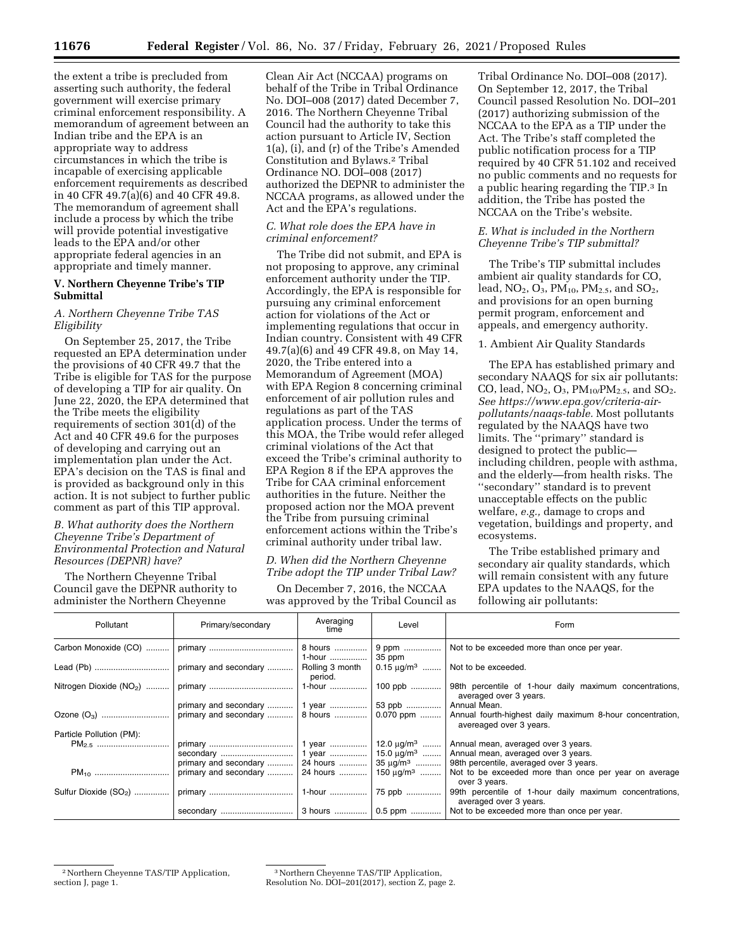the extent a tribe is precluded from asserting such authority, the federal government will exercise primary criminal enforcement responsibility. A memorandum of agreement between an Indian tribe and the EPA is an appropriate way to address circumstances in which the tribe is incapable of exercising applicable enforcement requirements as described in 40 CFR 49.7(a)(6) and 40 CFR 49.8. The memorandum of agreement shall include a process by which the tribe will provide potential investigative leads to the EPA and/or other appropriate federal agencies in an appropriate and timely manner.

### **V. Northern Cheyenne Tribe's TIP Submittal**

## *A. Northern Cheyenne Tribe TAS Eligibility*

On September 25, 2017, the Tribe requested an EPA determination under the provisions of 40 CFR 49.7 that the Tribe is eligible for TAS for the purpose of developing a TIP for air quality. On June 22, 2020, the EPA determined that the Tribe meets the eligibility requirements of section 301(d) of the Act and 40 CFR 49.6 for the purposes of developing and carrying out an implementation plan under the Act. EPA's decision on the TAS is final and is provided as background only in this action. It is not subject to further public comment as part of this TIP approval.

### *B. What authority does the Northern Cheyenne Tribe's Department of Environmental Protection and Natural Resources (DEPNR) have?*

The Northern Cheyenne Tribal Council gave the DEPNR authority to administer the Northern Cheyenne

Clean Air Act (NCCAA) programs on behalf of the Tribe in Tribal Ordinance No. DOI–008 (2017) dated December 7, 2016. The Northern Cheyenne Tribal Council had the authority to take this action pursuant to Article IV, Section 1(a), (i), and (r) of the Tribe's Amended Constitution and Bylaws.2 Tribal Ordinance NO. DOI–008 (2017) authorized the DEPNR to administer the NCCAA programs, as allowed under the Act and the EPA's regulations.

## *C. What role does the EPA have in criminal enforcement?*

The Tribe did not submit, and EPA is not proposing to approve, any criminal enforcement authority under the TIP. Accordingly, the EPA is responsible for pursuing any criminal enforcement action for violations of the Act or implementing regulations that occur in Indian country. Consistent with 49 CFR 49.7(a)(6) and 49 CFR 49.8, on May 14, 2020, the Tribe entered into a Memorandum of Agreement (MOA) with EPA Region 8 concerning criminal enforcement of air pollution rules and regulations as part of the TAS application process. Under the terms of this MOA, the Tribe would refer alleged criminal violations of the Act that exceed the Tribe's criminal authority to EPA Region 8 if the EPA approves the Tribe for CAA criminal enforcement authorities in the future. Neither the proposed action nor the MOA prevent the Tribe from pursuing criminal enforcement actions within the Tribe's criminal authority under tribal law.

### *D. When did the Northern Cheyenne Tribe adopt the TIP under Tribal Law?*

On December 7, 2016, the NCCAA was approved by the Tribal Council as

Tribal Ordinance No. DOI–008 (2017). On September 12, 2017, the Tribal Council passed Resolution No. DOI–201 (2017) authorizing submission of the NCCAA to the EPA as a TIP under the Act. The Tribe's staff completed the public notification process for a TIP required by 40 CFR 51.102 and received no public comments and no requests for a public hearing regarding the TIP.3 In addition, the Tribe has posted the NCCAA on the Tribe's website.

## *E. What is included in the Northern Cheyenne Tribe's TIP submittal?*

The Tribe's TIP submittal includes ambient air quality standards for CO, lead,  $NO_2$ ,  $O_3$ ,  $PM_{10}$ ,  $PM_{2.5}$ , and  $SO_2$ , and provisions for an open burning permit program, enforcement and appeals, and emergency authority.

## 1. Ambient Air Quality Standards

The EPA has established primary and secondary NAAQS for six air pollutants: CO, lead,  $NO_2$ ,  $O_3$ ,  $PM_{10}$ / $PM_{2.5}$ , and  $SO_2$ . *See [https://www.epa.gov/criteria-air](https://www.epa.gov/criteria-air-pollutants/naaqs-table)[pollutants/naaqs-table.](https://www.epa.gov/criteria-air-pollutants/naaqs-table)* Most pollutants regulated by the NAAQS have two limits. The ''primary'' standard is designed to protect the public including children, people with asthma, and the elderly—from health risks. The ''secondary'' standard is to prevent unacceptable effects on the public welfare, *e.g.,* damage to crops and vegetation, buildings and property, and ecosystems.

The Tribe established primary and secondary air quality standards, which will remain consistent with any future EPA updates to the NAAQS, for the following air pollutants:

| Pollutant                | Primary/secondary                                         | Averaging<br>time          | Level           | Form                                                                                                                                  |
|--------------------------|-----------------------------------------------------------|----------------------------|-----------------|---------------------------------------------------------------------------------------------------------------------------------------|
| Carbon Monoxide (CO)     |                                                           | 8 hours                    | 9 ppm<br>35 ppm | Not to be exceeded more than once per year.                                                                                           |
|                          |                                                           | Rolling 3 month<br>period. |                 | $0.15 \mu g/m^3$ Not to be exceeded.                                                                                                  |
|                          |                                                           | 1-hour                     |                 | 100 ppb  98th percentile of 1-hour daily maximum concentrations,<br>averaged over 3 years.                                            |
|                          | primary and secondary    1 year    53 ppb    Annual Mean. |                            |                 |                                                                                                                                       |
|                          |                                                           |                            |                 | primary and secondary    8 hours    0.070 ppm    Annual fourth-highest daily maximum 8-hour concentration,<br>avereaged over 3 years. |
| Particle Pollution (PM): |                                                           |                            |                 |                                                                                                                                       |
| $PM_{2.5}$               |                                                           |                            |                 |                                                                                                                                       |
|                          |                                                           |                            |                 |                                                                                                                                       |
|                          |                                                           |                            |                 | primary and secondary    24 hours    35 µg/m <sup>3</sup>   98th percentile, averaged over 3 years.                                   |
| $PM_{10}$                | primary and secondary                                     |                            |                 | 24 hours  150 $\mu$ g/m <sup>3</sup> Not to be exceeded more than once per year on average<br>over 3 years.                           |
| Sulfur Dioxide $(SO_2)$  |                                                           |                            |                 | 1-hour  75 ppb  99th percentile of 1-hour daily maximum concentrations,<br>averaged over 3 years.                                     |
|                          |                                                           |                            |                 |                                                                                                                                       |

2Northern Cheyenne TAS/TIP Application, section J, page 1.

<sup>3</sup>Northern Cheyenne TAS/TIP Application, Resolution No. DOI–201(2017), section Z, page 2.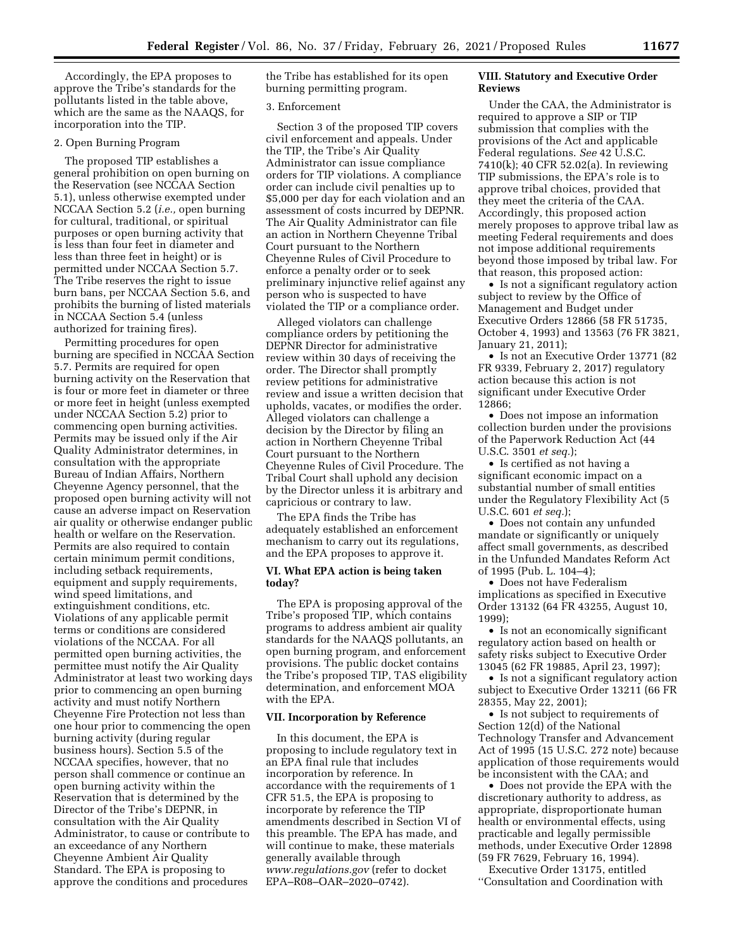Accordingly, the EPA proposes to approve the Tribe's standards for the pollutants listed in the table above, which are the same as the NAAQS, for incorporation into the TIP.

#### 2. Open Burning Program

The proposed TIP establishes a general prohibition on open burning on the Reservation (see NCCAA Section 5.1), unless otherwise exempted under NCCAA Section 5.2 (*i.e.,* open burning for cultural, traditional, or spiritual purposes or open burning activity that is less than four feet in diameter and less than three feet in height) or is permitted under NCCAA Section 5.7. The Tribe reserves the right to issue burn bans, per NCCAA Section 5.6, and prohibits the burning of listed materials in NCCAA Section 5.4 (unless authorized for training fires).

Permitting procedures for open burning are specified in NCCAA Section 5.7. Permits are required for open burning activity on the Reservation that is four or more feet in diameter or three or more feet in height (unless exempted under NCCAA Section 5.2) prior to commencing open burning activities. Permits may be issued only if the Air Quality Administrator determines, in consultation with the appropriate Bureau of Indian Affairs, Northern Cheyenne Agency personnel, that the proposed open burning activity will not cause an adverse impact on Reservation air quality or otherwise endanger public health or welfare on the Reservation. Permits are also required to contain certain minimum permit conditions, including setback requirements, equipment and supply requirements, wind speed limitations, and extinguishment conditions, etc. Violations of any applicable permit terms or conditions are considered violations of the NCCAA. For all permitted open burning activities, the permittee must notify the Air Quality Administrator at least two working days prior to commencing an open burning activity and must notify Northern Cheyenne Fire Protection not less than one hour prior to commencing the open burning activity (during regular business hours). Section 5.5 of the NCCAA specifies, however, that no person shall commence or continue an open burning activity within the Reservation that is determined by the Director of the Tribe's DEPNR, in consultation with the Air Quality Administrator, to cause or contribute to an exceedance of any Northern Cheyenne Ambient Air Quality Standard. The EPA is proposing to approve the conditions and procedures

the Tribe has established for its open burning permitting program.

#### 3. Enforcement

Section 3 of the proposed TIP covers civil enforcement and appeals. Under the TIP, the Tribe's Air Quality Administrator can issue compliance orders for TIP violations. A compliance order can include civil penalties up to \$5,000 per day for each violation and an assessment of costs incurred by DEPNR. The Air Quality Administrator can file an action in Northern Cheyenne Tribal Court pursuant to the Northern Cheyenne Rules of Civil Procedure to enforce a penalty order or to seek preliminary injunctive relief against any person who is suspected to have violated the TIP or a compliance order.

Alleged violators can challenge compliance orders by petitioning the DEPNR Director for administrative review within 30 days of receiving the order. The Director shall promptly review petitions for administrative review and issue a written decision that upholds, vacates, or modifies the order. Alleged violators can challenge a decision by the Director by filing an action in Northern Cheyenne Tribal Court pursuant to the Northern Cheyenne Rules of Civil Procedure. The Tribal Court shall uphold any decision by the Director unless it is arbitrary and capricious or contrary to law.

The EPA finds the Tribe has adequately established an enforcement mechanism to carry out its regulations, and the EPA proposes to approve it.

### **VI. What EPA action is being taken today?**

The EPA is proposing approval of the Tribe's proposed TIP, which contains programs to address ambient air quality standards for the NAAQS pollutants, an open burning program, and enforcement provisions. The public docket contains the Tribe's proposed TIP, TAS eligibility determination, and enforcement MOA with the EPA.

#### **VII. Incorporation by Reference**

In this document, the EPA is proposing to include regulatory text in an EPA final rule that includes incorporation by reference. In accordance with the requirements of 1 CFR 51.5, the EPA is proposing to incorporate by reference the TIP amendments described in Section VI of this preamble. The EPA has made, and will continue to make, these materials generally available through *[www.regulations.gov](http://www.regulations.gov)* (refer to docket EPA–R08–OAR–2020–0742).

## **VIII. Statutory and Executive Order Reviews**

Under the CAA, the Administrator is required to approve a SIP or TIP submission that complies with the provisions of the Act and applicable Federal regulations. *See* 42 U.S.C. 7410(k); 40 CFR 52.02(a). In reviewing TIP submissions, the EPA's role is to approve tribal choices, provided that they meet the criteria of the CAA. Accordingly, this proposed action merely proposes to approve tribal law as meeting Federal requirements and does not impose additional requirements beyond those imposed by tribal law. For that reason, this proposed action:

• Is not a significant regulatory action subject to review by the Office of Management and Budget under Executive Orders 12866 (58 FR 51735, October 4, 1993) and 13563 (76 FR 3821, January 21, 2011);

• Is not an Executive Order 13771 (82 FR 9339, February 2, 2017) regulatory action because this action is not significant under Executive Order 12866;

• Does not impose an information collection burden under the provisions of the Paperwork Reduction Act (44 U.S.C. 3501 *et seq.*);

• Is certified as not having a significant economic impact on a substantial number of small entities under the Regulatory Flexibility Act (5 U.S.C. 601 *et seq.*);

• Does not contain any unfunded mandate or significantly or uniquely affect small governments, as described in the Unfunded Mandates Reform Act of 1995 (Pub. L. 104–4);

• Does not have Federalism implications as specified in Executive Order 13132 (64 FR 43255, August 10, 1999);

• Is not an economically significant regulatory action based on health or safety risks subject to Executive Order 13045 (62 FR 19885, April 23, 1997);

• Is not a significant regulatory action subject to Executive Order 13211 (66 FR 28355, May 22, 2001);

• Is not subject to requirements of Section 12(d) of the National Technology Transfer and Advancement Act of 1995 (15 U.S.C. 272 note) because application of those requirements would be inconsistent with the CAA; and

• Does not provide the EPA with the discretionary authority to address, as appropriate, disproportionate human health or environmental effects, using practicable and legally permissible methods, under Executive Order 12898 (59 FR 7629, February 16, 1994).

Executive Order 13175, entitled ''Consultation and Coordination with